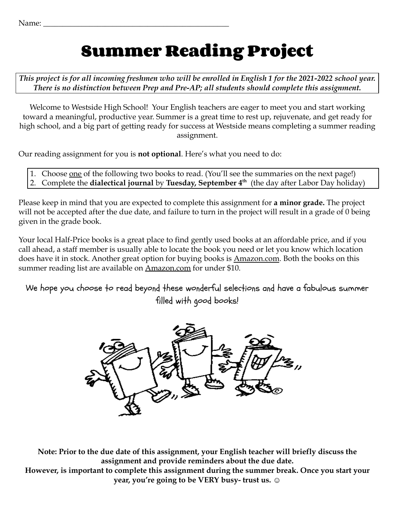# **Summer Reading Project**

*This project is for all incoming freshmen who will be enrolled in English 1 for the 2021-2022 school year. There is no distinction between Prep and Pre-AP; all students should complete this assignment.*

Welcome to Westside High School! Your English teachers are eager to meet you and start working toward a meaningful, productive year. Summer is a great time to rest up, rejuvenate, and get ready for high school, and a big part of getting ready for success at Westside means completing a summer reading assignment.

Our reading assignment for you is **not optional**. Here's what you need to do:

- 1. Choose <u>one</u> of the following two books to read. (You'll see the summaries on the next page!)
- 2. Complete the **dialectical journal** by **Tuesday, September 4 th** (the day after Labor Day holiday)

Please keep in mind that you are expected to complete this assignment for **a minor grade.** The project will not be accepted after the due date, and failure to turn in the project will result in a grade of 0 being given in the grade book.

Your local Half-Price books is a great place to find gently used books at an affordable price, and if you call ahead, a staff member is usually able to locate the book you need or let you know which location does have it in stock. Another great option for buying books is Amazon.com. Both the books on this summer reading list are available on **Amazon.com** for under \$10.

We hope you choose to read beyond these wonderful selections and have a fabulous summer filled with good books!



**Note: Prior to the due date of this assignment, your English teacher will briefly discuss the assignment and provide reminders about the due date. However, is important to complete this assignment during the summer break. Once you start your**

**year, you're going to be VERY busy- trust us.** ☺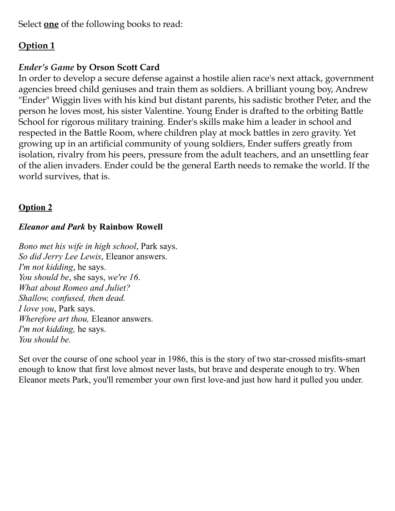Select **one** of the following books to read:

## **Option 1**

### *Ender's Game* **by Orson Scott Card**

In order to develop a secure defense against a hostile alien race's next attack, government agencies breed child geniuses and train them as soldiers. A brilliant young boy, Andrew "Ender" Wiggin lives with his kind but distant parents, his sadistic brother Peter, and the person he loves most, his sister Valentine. Young Ender is drafted to the orbiting Battle School for rigorous military training. Ender's skills make him a leader in school and respected in the Battle Room, where children play at mock battles in zero gravity. Yet growing up in an artificial community of young soldiers, Ender suffers greatly from isolation, rivalry from his peers, pressure from the adult teachers, and an unsettling fear of the alien invaders. Ender could be the general Earth needs to remake the world. If the world survives, that is.

### **Option 2**

#### *Eleanor and Park* **by Rainbow Rowell**

*Bono met his wife in high school*, Park says. *So did Jerry Lee Lewis*, Eleanor answers. *I'm not kidding*, he says. *You should be*, she says, *we're 16*. *What about Romeo and Juliet? Shallow, confused, then dead. I love you*, Park says. *Wherefore art thou,* Eleanor answers. *I'm not kidding,* he says. *You should be.*

Set over the course of one school year in 1986, this is the story of two star-crossed misfits-smart enough to know that first love almost never lasts, but brave and desperate enough to try. When Eleanor meets Park, you'll remember your own first love-and just how hard it pulled you under.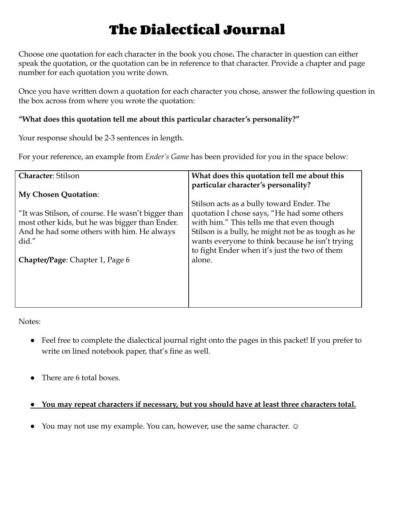# **The Dialectical Journal**

Choose one quotation for each character in the book you chose**.** The character in question can either speak the quotation, or the quotation can be in reference to that character. Provide a chapter and page number for each quotation you write down.

Once you have written down a quotation for each character you chose, answer the following question in the box across from where you wrote the quotation:

#### **"What does this quotation tell me about this particular character's personality?"**

Your response should be 2-3 sentences in length.

For your reference, an example from *Ender's Game* has been provided for you in the space below:

| <b>Character: Stilson</b><br>particular character's personality?<br><b>My Chosen Quotation:</b><br>"It was Stilson, of course. He wasn't bigger than<br>most other kids, but he was bigger than Ender.<br>And he had some others with him. He always<br>did."<br>alone.<br><b>Chapter/Page: Chapter 1, Page 6</b> | What does this quotation tell me about this<br>Stilson acts as a bully toward Ender. The<br>quotation I chose says, "He had some others<br>with him." This tells me that even though<br>Stilson is a bully, he might not be as tough as he<br>wants everyone to think because he isn't trying<br>to fight Ender when it's just the two of them |
|-------------------------------------------------------------------------------------------------------------------------------------------------------------------------------------------------------------------------------------------------------------------------------------------------------------------|------------------------------------------------------------------------------------------------------------------------------------------------------------------------------------------------------------------------------------------------------------------------------------------------------------------------------------------------|
|-------------------------------------------------------------------------------------------------------------------------------------------------------------------------------------------------------------------------------------------------------------------------------------------------------------------|------------------------------------------------------------------------------------------------------------------------------------------------------------------------------------------------------------------------------------------------------------------------------------------------------------------------------------------------|

Notes:

- Feel free to complete the dialectical journal right onto the pages in this packet! If you prefer to write on lined notebook paper, that's fine as well.
- There are 6 total boxes.

#### **● You may repeat characters if necessary, but you should have at least three characters total.**

● You may not use my example. You can, however, use the same character. ☺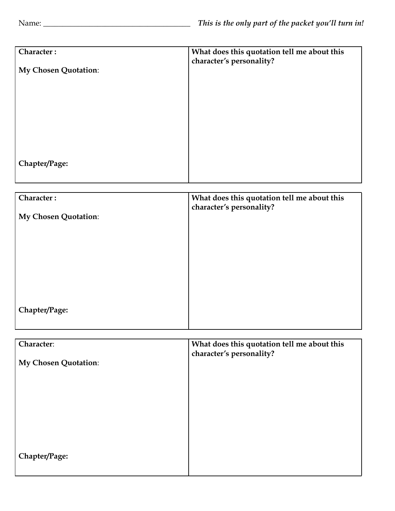**Chapter/Page:**

| Character:                  | What does this quotation tell me about this<br>character's personality? |
|-----------------------------|-------------------------------------------------------------------------|
| <b>My Chosen Quotation:</b> |                                                                         |
|                             |                                                                         |
|                             |                                                                         |
|                             |                                                                         |
|                             |                                                                         |
| Chapter/Page:               |                                                                         |

| Character:           | What does this quotation tell me about this                             |
|----------------------|-------------------------------------------------------------------------|
|                      | character's personality?                                                |
| My Chosen Quotation: |                                                                         |
|                      |                                                                         |
|                      |                                                                         |
|                      |                                                                         |
|                      |                                                                         |
|                      |                                                                         |
|                      |                                                                         |
|                      |                                                                         |
|                      |                                                                         |
| Chapter/Page:        |                                                                         |
|                      |                                                                         |
|                      |                                                                         |
| Character:           |                                                                         |
|                      | What does this quotation tell me about this<br>character's personality? |
| My Chosen Quotation: |                                                                         |
|                      |                                                                         |
|                      |                                                                         |
|                      |                                                                         |
|                      |                                                                         |
|                      |                                                                         |
|                      |                                                                         |
|                      |                                                                         |
|                      |                                                                         |